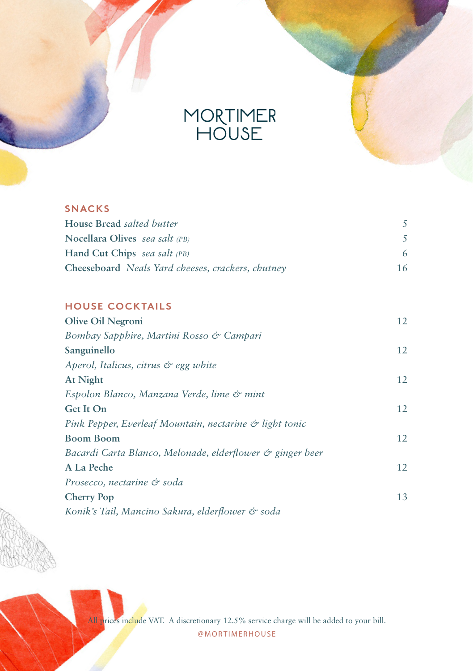

| $\cdots$ | <u>.</u> |  |
|----------|----------|--|
|          |          |  |

| House Bread salted butter                         |    |
|---------------------------------------------------|----|
| Nocellara Olives sea salt (PB)                    |    |
| Hand Cut Chips sea salt (PB)                      |    |
| Cheeseboard Neals Yard cheeses, crackers, chutney | 16 |

## **HOUSE COCKTAILS**

| Olive Oil Negroni                                         | 12 |
|-----------------------------------------------------------|----|
| Bombay Sapphire, Martini Rosso & Campari                  |    |
| Sanguinello                                               | 12 |
| Aperol, Italicus, citrus & egg white                      |    |
| At Night                                                  | 12 |
| Espolon Blanco, Manzana Verde, lime & mint                |    |
| Get It On                                                 | 12 |
| Pink Pepper, Everleaf Mountain, nectarine & light tonic   |    |
| <b>Boom Boom</b>                                          | 12 |
| Bacardi Carta Blanco, Melonade, elderflower & ginger beer |    |
| A La Peche                                                | 12 |
| Prosecco, nectarine & soda                                |    |
| <b>Cherry Pop</b>                                         | 13 |
| Konik's Tail, Mancino Sakura, elderflower & soda          |    |

All prices include VAT. A discretionary 12.5% service charge will be added to your bill. @MORTIMERHOUSE